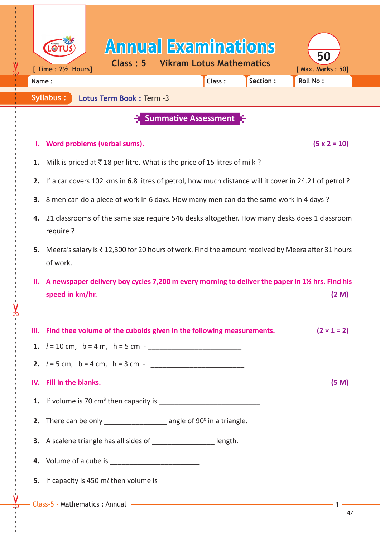| [ Time : 2½ Hours]                                                                                                               | <b>Annual Examinations</b><br>Class: 5                                                                                                                                                                                                                                                      | <b>Vikram Lotus Mathematics</b> |          | 50<br>[ Max. Marks: 50] |  |  |
|----------------------------------------------------------------------------------------------------------------------------------|---------------------------------------------------------------------------------------------------------------------------------------------------------------------------------------------------------------------------------------------------------------------------------------------|---------------------------------|----------|-------------------------|--|--|
| Name:<br>Syllabus:                                                                                                               | Lotus Term Book: Term -3                                                                                                                                                                                                                                                                    | Class:                          | Section: | <b>Roll No:</b>         |  |  |
| <b>Summative Assessment</b>                                                                                                      |                                                                                                                                                                                                                                                                                             |                                 |          |                         |  |  |
|                                                                                                                                  |                                                                                                                                                                                                                                                                                             |                                 |          |                         |  |  |
| ı.                                                                                                                               | Word problems (verbal sums).<br>$(5 \times 2 = 10)$                                                                                                                                                                                                                                         |                                 |          |                         |  |  |
| Milk is priced at $\bar{\tau}$ 18 per litre. What is the price of 15 litres of milk ?<br>1.                                      |                                                                                                                                                                                                                                                                                             |                                 |          |                         |  |  |
| 2.                                                                                                                               | If a car covers 102 kms in 6.8 litres of petrol, how much distance will it cover in 24.21 of petrol?                                                                                                                                                                                        |                                 |          |                         |  |  |
| 3.                                                                                                                               | 8 men can do a piece of work in 6 days. How many men can do the same work in 4 days ?                                                                                                                                                                                                       |                                 |          |                         |  |  |
| 4.<br>require ?                                                                                                                  | 21 classrooms of the same size require 546 desks altogether. How many desks does 1 classroom                                                                                                                                                                                                |                                 |          |                         |  |  |
| 5.<br>of work.                                                                                                                   | Meera's salary is ₹12,300 for 20 hours of work. Find the amount received by Meera after 31 hours                                                                                                                                                                                            |                                 |          |                         |  |  |
| A newspaper delivery boy cycles 7,200 m every morning to deliver the paper in 1½ hrs. Find his<br>н.<br>speed in km/hr.<br>(2 M) |                                                                                                                                                                                                                                                                                             |                                 |          |                         |  |  |
| Ш.                                                                                                                               | Find thee volume of the cuboids given in the following measurements.                                                                                                                                                                                                                        |                                 |          | $(2 \times 1 = 2)$      |  |  |
|                                                                                                                                  |                                                                                                                                                                                                                                                                                             |                                 |          |                         |  |  |
|                                                                                                                                  |                                                                                                                                                                                                                                                                                             |                                 |          |                         |  |  |
| <b>Fill in the blanks.</b><br>IV.                                                                                                |                                                                                                                                                                                                                                                                                             |                                 |          | (5 M)                   |  |  |
|                                                                                                                                  | <b>1.</b> If volume is 70 cm <sup>3</sup> then capacity is $\frac{1}{2}$ [2010] $\frac{1}{2}$ [30] $\frac{1}{2}$ [30] $\frac{1}{2}$ [30] $\frac{1}{2}$ [30] $\frac{1}{2}$ [30] $\frac{1}{2}$ [30] $\frac{1}{2}$ [30] $\frac{1}{2}$ [30] $\frac{1}{2}$ [30] $\frac{1}{2}$ [30] $\frac{1}{2}$ |                                 |          |                         |  |  |
|                                                                                                                                  | 2. There can be only $\frac{1}{2}$ angle of 90 $^{\circ}$ in a triangle.                                                                                                                                                                                                                    |                                 |          |                         |  |  |
|                                                                                                                                  | 3. A scalene triangle has all sides of __________________ length.                                                                                                                                                                                                                           |                                 |          |                         |  |  |
|                                                                                                                                  |                                                                                                                                                                                                                                                                                             |                                 |          |                         |  |  |
|                                                                                                                                  |                                                                                                                                                                                                                                                                                             |                                 |          |                         |  |  |
|                                                                                                                                  | - Class-5 - Mathematics : Annual - The Class of the Class of the Mathematics of Annual Class of the Class of the Class of the Class of the Class of the Class of the Class of the Class of the Class of the Class of the Class                                                              |                                 |          |                         |  |  |

------ - - --------------------------------------- --- -------------------------------------------------- ------------- - - - - ---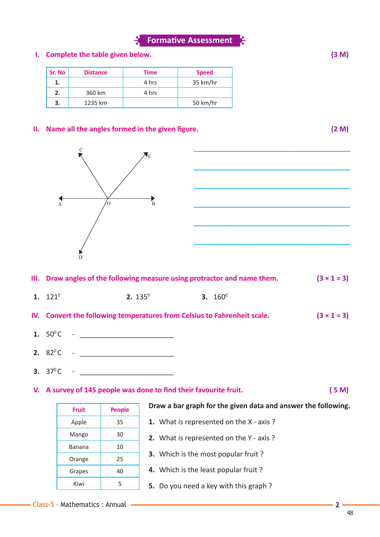## **I. Complete the table given below. (3 M)**

| Sr. No | <b>Distance</b> | Time  | <b>Speed</b> |
|--------|-----------------|-------|--------------|
| ı.     |                 | 4 hrs | 35 km/hr     |
| 2.     | 360 km          | 4 hrs |              |
| 3.     | 1235 km         |       | 50 km/hr     |

### **II.** Name all the angles formed in the given figure. (2 M)



| III. Draw angles of the following measure using protractor and name them. | $(3 \times 1 = 3)$ |
|---------------------------------------------------------------------------|--------------------|
|                                                                           |                    |

- **1.**  $121^0$  **2.**  $135^0$  **3.**  $160^0$
- **IV.** Convert the following temperatures from Celsius to Fahrenheit scale.  $(3 \times 1 = 3)$
- **1.** 500 C \_\_\_\_\_\_\_\_\_\_\_\_\_\_\_\_\_\_\_\_\_\_\_\_
- **2.** 820 C \_\_\_\_\_\_\_\_\_\_\_\_\_\_\_\_\_\_\_\_\_\_\_\_
- **3.**  $37^{\circ}$ C -

**V.** A survey of 145 people was done to find their favourite fruit. (5 M)

| <b>Fruit</b> | <b>People</b> |
|--------------|---------------|
| Apple        | 35            |
| Mango        | 30            |
| Banana       | 10            |
| Orange       | 25            |
| Grapes       | 40            |
| Kiwi         | 5             |

### **Draw a bar graph for the given data and answer the following.**

- **1.** What is represented on the X axis ?
- **2.** What is represented on the Y axis ?
- **3.** Which is the most popular fruit ?
- **4.** Which is the least popular fruit ?
- **5.** Do you need a key with this graph ?



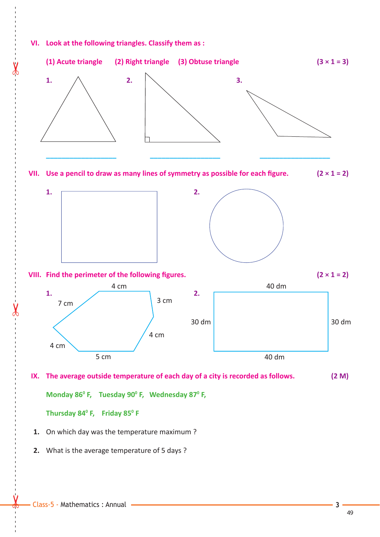## **VI. Look at the following triangles. Classify them as :**



 **2.** What is the average temperature of 5 days ?

------ - - --------------------------------------- --- -------------------------------------------------- ------------- - - - - ---

49